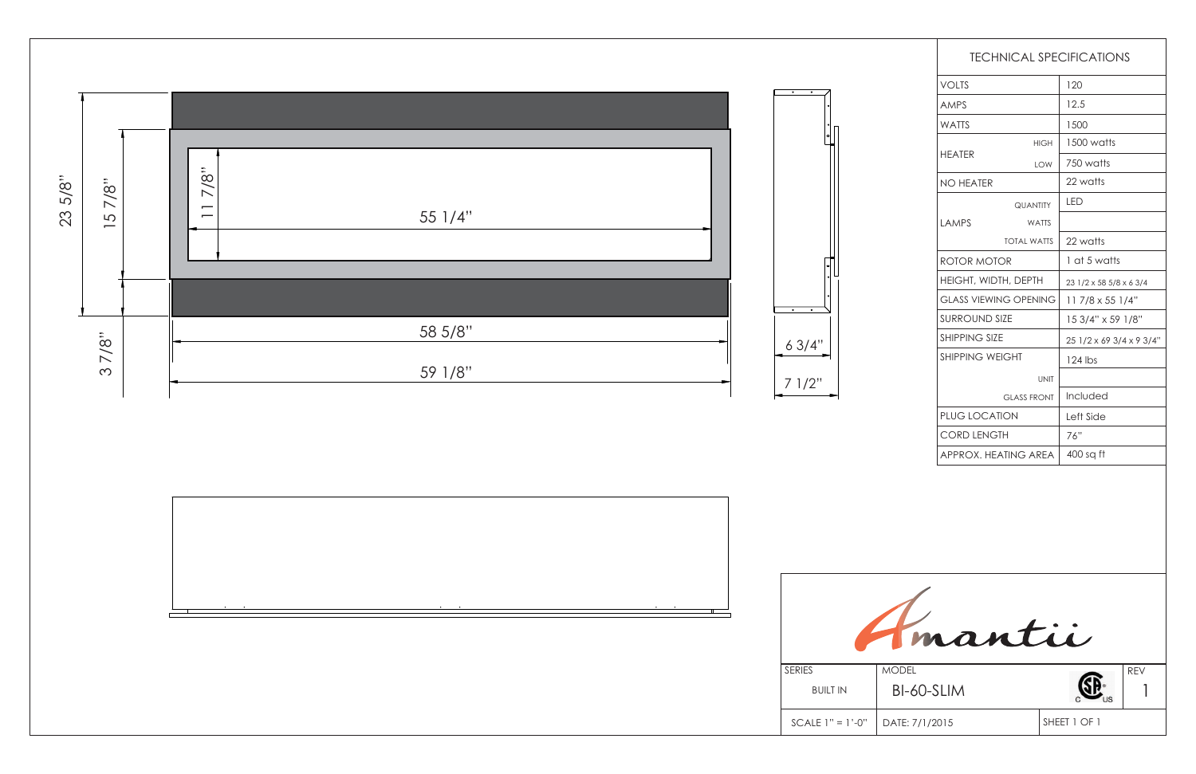| <b>TECHNICAL SPECIFICATIONS</b> |                    |                          |  |
|---------------------------------|--------------------|--------------------------|--|
| <b>VOLTS</b>                    |                    | 120                      |  |
| <b>AMPS</b>                     |                    | 12.5                     |  |
| <b>WATTS</b>                    |                    | 1500                     |  |
| <b>HEATER</b>                   | <b>HIGH</b>        | 1500 watts               |  |
|                                 | <b>LOW</b>         | 750 watts                |  |
| <b>NO HEATER</b>                |                    | 22 watts                 |  |
|                                 | <b>QUANTITY</b>    | <b>LED</b>               |  |
| <b>LAMPS</b>                    | <b>WATTS</b>       |                          |  |
|                                 | <b>TOTAL WATTS</b> | 22 watts                 |  |
| ROTOR MOTOR                     |                    | 1 at 5 watts             |  |
| HEIGHT, WIDTH, DEPTH            |                    | 23 1/2 x 58 5/8 x 6 3/4  |  |
| <b>GLASS VIEWING OPENING</b>    |                    | 11 7/8 x 55 1/4"         |  |
| <b>SURROUND SIZE</b>            |                    | 15 3/4" x 59 1/8"        |  |
| <b>SHIPPING SIZE</b>            |                    | 25 1/2 x 69 3/4 x 9 3/4" |  |
| <b>SHIPPING WEIGHT</b>          |                    | 124 lbs                  |  |
| <b>UNIT</b>                     |                    |                          |  |
| <b>GLASS FRONT</b>              |                    | Included                 |  |
| <b>PLUG LOCATION</b>            |                    | Left Side                |  |
| <b>CORD LENGTH</b>              |                    | 76"                      |  |
| APPROX. HEATING AREA            |                    | 400 sq ft                |  |

BUILT IN